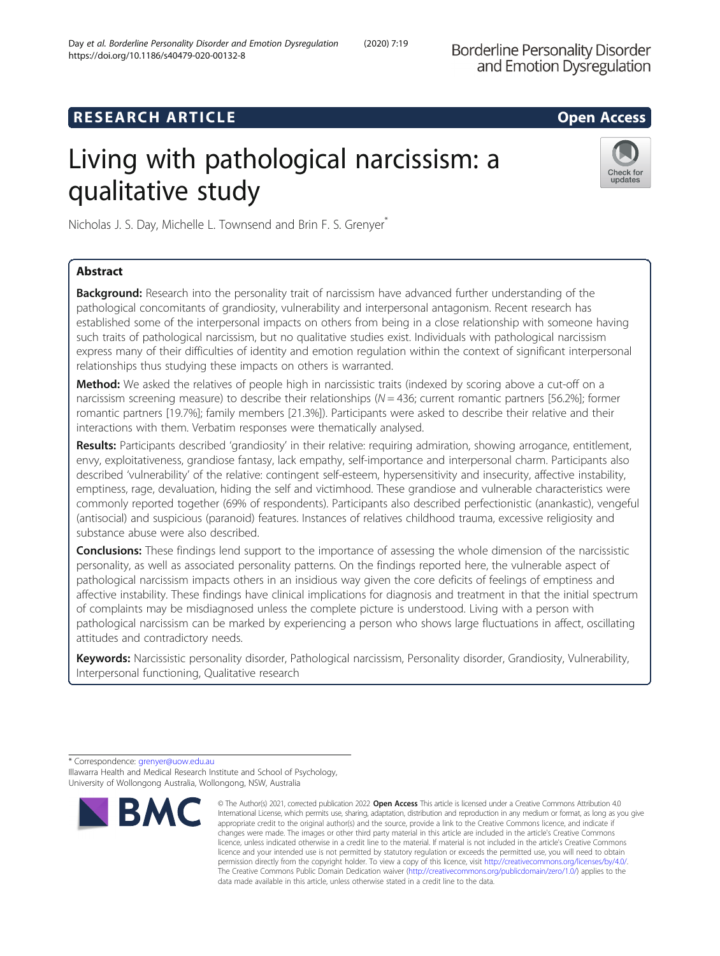**Borderline Personality Disorder** and Emotion Dysregulation

# **RESEARCH ARTICLE Example 2014 12:30 The SEAR CH ACCESS**

# Living with pathological narcissism: a qualitative study



Nicholas J. S. Day, Michelle L. Townsend and Brin F. S. Grenyer<sup>\*</sup>

# Abstract

**Background:** Research into the personality trait of narcissism have advanced further understanding of the pathological concomitants of grandiosity, vulnerability and interpersonal antagonism. Recent research has established some of the interpersonal impacts on others from being in a close relationship with someone having such traits of pathological narcissism, but no qualitative studies exist. Individuals with pathological narcissism express many of their difficulties of identity and emotion regulation within the context of significant interpersonal relationships thus studying these impacts on others is warranted.

Method: We asked the relatives of people high in narcissistic traits (indexed by scoring above a cut-off on a narcissism screening measure) to describe their relationships ( $N = 436$ ; current romantic partners [56.2%]; former romantic partners [19.7%]; family members [21.3%]). Participants were asked to describe their relative and their interactions with them. Verbatim responses were thematically analysed.

Results: Participants described 'grandiosity' in their relative: requiring admiration, showing arrogance, entitlement, envy, exploitativeness, grandiose fantasy, lack empathy, self-importance and interpersonal charm. Participants also described 'vulnerability' of the relative: contingent self-esteem, hypersensitivity and insecurity, affective instability, emptiness, rage, devaluation, hiding the self and victimhood. These grandiose and vulnerable characteristics were commonly reported together (69% of respondents). Participants also described perfectionistic (anankastic), vengeful (antisocial) and suspicious (paranoid) features. Instances of relatives childhood trauma, excessive religiosity and substance abuse were also described.

**Conclusions:** These findings lend support to the importance of assessing the whole dimension of the narcissistic personality, as well as associated personality patterns. On the findings reported here, the vulnerable aspect of pathological narcissism impacts others in an insidious way given the core deficits of feelings of emptiness and affective instability. These findings have clinical implications for diagnosis and treatment in that the initial spectrum of complaints may be misdiagnosed unless the complete picture is understood. Living with a person with pathological narcissism can be marked by experiencing a person who shows large fluctuations in affect, oscillating attitudes and contradictory needs.

Keywords: Narcissistic personality disorder, Pathological narcissism, Personality disorder, Grandiosity, Vulnerability, Interpersonal functioning, Qualitative research

<sup>\*</sup> Correspondence: [grenyer@uow.edu.au](mailto:grenyer@uow.edu.au) Illawarra Health and Medical Research Institute and School of Psychology, University of Wollongong Australia, Wollongong, NSW, Australia



<sup>©</sup> The Author(s) 2021, corrected publication 2022 Open Access This article is licensed under a Creative Commons Attribution 4.0 International License, which permits use, sharing, adaptation, distribution and reproduction in any medium or format, as long as you give appropriate credit to the original author(s) and the source, provide a link to the Creative Commons licence, and indicate if changes were made. The images or other third party material in this article are included in the article's Creative Commons licence, unless indicated otherwise in a credit line to the material. If material is not included in the article's Creative Commons licence and your intended use is not permitted by statutory regulation or exceeds the permitted use, you will need to obtain permission directly from the copyright holder. To view a copy of this licence, visit [http://creativecommons.org/licenses/by/4.0/.](http://creativecommons.org/licenses/by/4.0/) The Creative Commons Public Domain Dedication waiver [\(http://creativecommons.org/publicdomain/zero/1.0/](http://creativecommons.org/publicdomain/zero/1.0/)) applies to the data made available in this article, unless otherwise stated in a credit line to the data.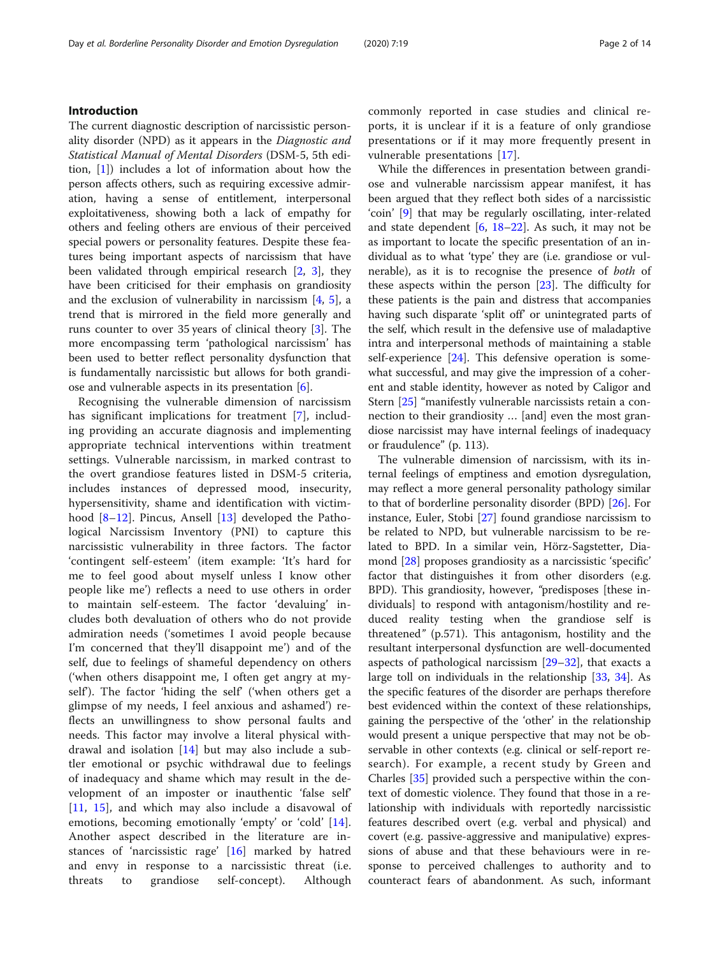# Introduction

The current diagnostic description of narcissistic personality disorder (NPD) as it appears in the Diagnostic and Statistical Manual of Mental Disorders (DSM-5, 5th edition, [[1\]](#page-12-0)) includes a lot of information about how the person affects others, such as requiring excessive admiration, having a sense of entitlement, interpersonal exploitativeness, showing both a lack of empathy for others and feeling others are envious of their perceived special powers or personality features. Despite these features being important aspects of narcissism that have been validated through empirical research [[2,](#page-12-0) [3\]](#page-12-0), they have been criticised for their emphasis on grandiosity and the exclusion of vulnerability in narcissism  $[4, 5]$  $[4, 5]$  $[4, 5]$  $[4, 5]$ , a trend that is mirrored in the field more generally and runs counter to over 35 years of clinical theory [\[3](#page-12-0)]. The more encompassing term 'pathological narcissism' has been used to better reflect personality dysfunction that is fundamentally narcissistic but allows for both grandiose and vulnerable aspects in its presentation  $[6]$  $[6]$ .

Recognising the vulnerable dimension of narcissism has significant implications for treatment [\[7](#page-12-0)], including providing an accurate diagnosis and implementing appropriate technical interventions within treatment settings. Vulnerable narcissism, in marked contrast to the overt grandiose features listed in DSM-5 criteria, includes instances of depressed mood, insecurity, hypersensitivity, shame and identification with victim-hood [[8](#page-12-0)–[12](#page-12-0)]. Pincus, Ansell [[13\]](#page-12-0) developed the Pathological Narcissism Inventory (PNI) to capture this narcissistic vulnerability in three factors. The factor 'contingent self-esteem' (item example: 'It's hard for me to feel good about myself unless I know other people like me') reflects a need to use others in order to maintain self-esteem. The factor 'devaluing' includes both devaluation of others who do not provide admiration needs ('sometimes I avoid people because I'm concerned that they'll disappoint me') and of the self, due to feelings of shameful dependency on others ('when others disappoint me, I often get angry at myself'). The factor 'hiding the self' ('when others get a glimpse of my needs, I feel anxious and ashamed') reflects an unwillingness to show personal faults and needs. This factor may involve a literal physical withdrawal and isolation [\[14](#page-12-0)] but may also include a subtler emotional or psychic withdrawal due to feelings of inadequacy and shame which may result in the development of an imposter or inauthentic 'false self' [[11,](#page-12-0) [15](#page-12-0)], and which may also include a disavowal of emotions, becoming emotionally 'empty' or 'cold' [\[14](#page-12-0)]. Another aspect described in the literature are instances of 'narcissistic rage' [[16\]](#page-12-0) marked by hatred and envy in response to a narcissistic threat (i.e. threats to grandiose self-concept). Although commonly reported in case studies and clinical reports, it is unclear if it is a feature of only grandiose presentations or if it may more frequently present in vulnerable presentations [[17\]](#page-12-0).

While the differences in presentation between grandiose and vulnerable narcissism appear manifest, it has been argued that they reflect both sides of a narcissistic 'coin' [\[9](#page-12-0)] that may be regularly oscillating, inter-related and state dependent  $[6, 18-22]$  $[6, 18-22]$  $[6, 18-22]$  $[6, 18-22]$  $[6, 18-22]$ . As such, it may not be as important to locate the specific presentation of an individual as to what 'type' they are (i.e. grandiose or vulnerable), as it is to recognise the presence of both of these aspects within the person [\[23](#page-12-0)]. The difficulty for these patients is the pain and distress that accompanies having such disparate 'split off' or unintegrated parts of the self, which result in the defensive use of maladaptive intra and interpersonal methods of maintaining a stable self-experience [\[24](#page-12-0)]. This defensive operation is somewhat successful, and may give the impression of a coherent and stable identity, however as noted by Caligor and Stern [[25](#page-12-0)] "manifestly vulnerable narcissists retain a connection to their grandiosity … [and] even the most grandiose narcissist may have internal feelings of inadequacy or fraudulence" (p. 113).

The vulnerable dimension of narcissism, with its internal feelings of emptiness and emotion dysregulation, may reflect a more general personality pathology similar to that of borderline personality disorder (BPD) [[26](#page-12-0)]. For instance, Euler, Stobi [\[27](#page-12-0)] found grandiose narcissism to be related to NPD, but vulnerable narcissism to be related to BPD. In a similar vein, Hörz-Sagstetter, Diamond [[28\]](#page-12-0) proposes grandiosity as a narcissistic 'specific' factor that distinguishes it from other disorders (e.g. BPD). This grandiosity, however, "predisposes [these individuals] to respond with antagonism/hostility and reduced reality testing when the grandiose self is threatened" (p.571). This antagonism, hostility and the resultant interpersonal dysfunction are well-documented aspects of pathological narcissism [[29](#page-12-0)–[32](#page-12-0)], that exacts a large toll on individuals in the relationship [[33,](#page-12-0) [34\]](#page-12-0). As the specific features of the disorder are perhaps therefore best evidenced within the context of these relationships, gaining the perspective of the 'other' in the relationship would present a unique perspective that may not be observable in other contexts (e.g. clinical or self-report research). For example, a recent study by Green and Charles [[35\]](#page-12-0) provided such a perspective within the context of domestic violence. They found that those in a relationship with individuals with reportedly narcissistic features described overt (e.g. verbal and physical) and covert (e.g. passive-aggressive and manipulative) expressions of abuse and that these behaviours were in response to perceived challenges to authority and to counteract fears of abandonment. As such, informant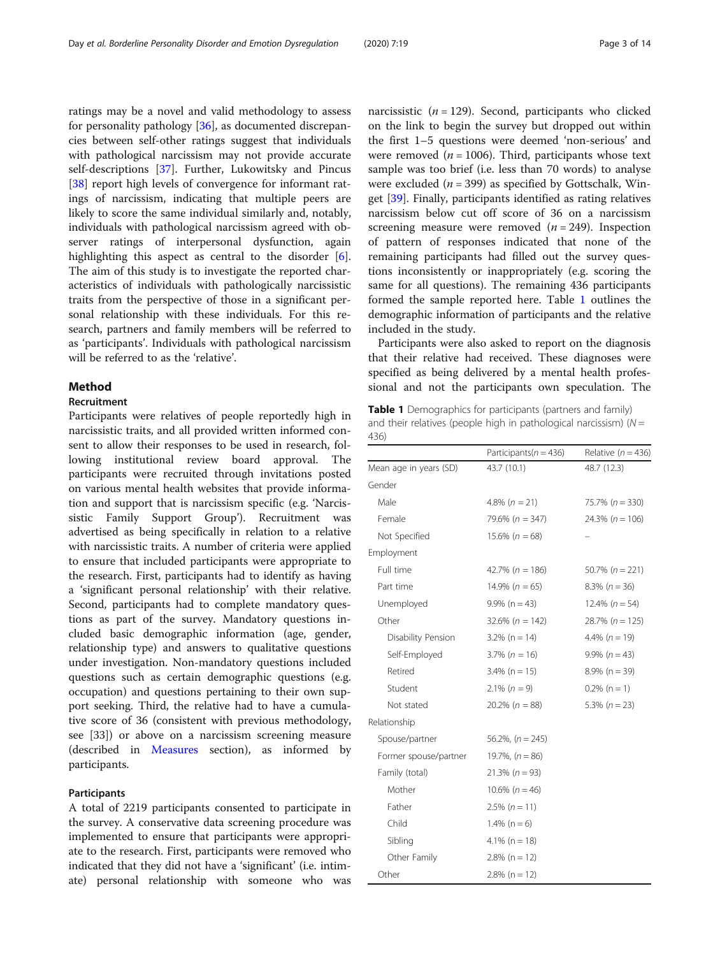ratings may be a novel and valid methodology to assess for personality pathology [[36\]](#page-12-0), as documented discrepancies between self-other ratings suggest that individuals with pathological narcissism may not provide accurate self-descriptions [[37\]](#page-12-0). Further, Lukowitsky and Pincus [[38\]](#page-12-0) report high levels of convergence for informant ratings of narcissism, indicating that multiple peers are likely to score the same individual similarly and, notably, individuals with pathological narcissism agreed with observer ratings of interpersonal dysfunction, again highlighting this aspect as central to the disorder [\[6](#page-12-0)]. The aim of this study is to investigate the reported characteristics of individuals with pathologically narcissistic traits from the perspective of those in a significant personal relationship with these individuals. For this research, partners and family members will be referred to as 'participants'. Individuals with pathological narcissism will be referred to as the 'relative'.

# Method

#### Recruitment

Participants were relatives of people reportedly high in narcissistic traits, and all provided written informed consent to allow their responses to be used in research, following institutional review board approval. The participants were recruited through invitations posted on various mental health websites that provide information and support that is narcissism specific (e.g. 'Narcissistic Family Support Group'). Recruitment was advertised as being specifically in relation to a relative with narcissistic traits. A number of criteria were applied to ensure that included participants were appropriate to the research. First, participants had to identify as having a 'significant personal relationship' with their relative. Second, participants had to complete mandatory questions as part of the survey. Mandatory questions included basic demographic information (age, gender, relationship type) and answers to qualitative questions under investigation. Non-mandatory questions included questions such as certain demographic questions (e.g. occupation) and questions pertaining to their own support seeking. Third, the relative had to have a cumulative score of 36 (consistent with previous methodology, see [33]) or above on a narcissism screening measure (described in [Measures](#page-3-0) section), as informed by participants.

#### Participants

A total of 2219 participants consented to participate in the survey. A conservative data screening procedure was implemented to ensure that participants were appropriate to the research. First, participants were removed who indicated that they did not have a 'significant' (i.e. intimate) personal relationship with someone who was narcissistic ( $n = 129$ ). Second, participants who clicked on the link to begin the survey but dropped out within the first 1–5 questions were deemed 'non-serious' and were removed ( $n = 1006$ ). Third, participants whose text sample was too brief (i.e. less than 70 words) to analyse were excluded ( $n = 399$ ) as specified by Gottschalk, Winget [\[39](#page-12-0)]. Finally, participants identified as rating relatives narcissism below cut off score of 36 on a narcissism screening measure were removed  $(n = 249)$ . Inspection of pattern of responses indicated that none of the remaining participants had filled out the survey questions inconsistently or inappropriately (e.g. scoring the same for all questions). The remaining 436 participants formed the sample reported here. Table 1 outlines the demographic information of participants and the relative included in the study.

Participants were also asked to report on the diagnosis that their relative had received. These diagnoses were specified as being delivered by a mental health professional and not the participants own speculation. The

Table 1 Demographics for participants (partners and family) and their relatives (people high in pathological narcissism) ( $N =$ 436)

|                        | Participants ( $n = 436$ ) | Relative ( $n = 436$ ) |
|------------------------|----------------------------|------------------------|
| Mean age in years (SD) | 43.7 (10.1)                | 48.7 (12.3)            |
| Gender                 |                            |                        |
| Male                   | 4.8% $(n = 21)$            | 75.7% ( $n = 330$ )    |
| Female                 | 79.6% ( $n = 347$ )        | $24.3\% (n = 106)$     |
| Not Specified          | $15.6\% (n = 68)$          |                        |
| Employment             |                            |                        |
| Full time              | $42.7\% (n = 186)$         | 50.7% $(n = 221)$      |
| Part time              | $14.9\% (n = 65)$          | $8.3\% (n = 36)$       |
| Unemployed             | $9.9\%$ (n = 43)           | 12.4% $(n = 54)$       |
| Other                  | $32.6\% (n = 142)$         | $28.7\% (n = 125)$     |
| Disability Pension     | $3.2\%$ (n = 14)           | 4.4% $(n = 19)$        |
| Self-Employed          | $3.7\%$ ( $n = 16$ )       | $9.9\% (n = 43)$       |
| Retired                | $3.4\%$ (n = 15)           | $8.9\%$ (n = 39)       |
| Student                | $2.1\% (n = 9)$            | $0.2\%$ (n = 1)        |
| Not stated             | $20.2\% (n = 88)$          | 5.3% $(n = 23)$        |
| Relationship           |                            |                        |
| Spouse/partner         | 56.2%, $(n = 245)$         |                        |
| Former spouse/partner  | 19.7%, $(n = 86)$          |                        |
| Family (total)         | $21.3\% (n = 93)$          |                        |
| Mother                 | $10.6\% (n = 46)$          |                        |
| Father                 | $2.5\% (n = 11)$           |                        |
| Child                  | $1.4\%$ (n = 6)            |                        |
| Sibling                | $4.1\%$ (n = 18)           |                        |
| Other Family           | $2.8\%$ (n = 12)           |                        |
| Other                  | $2.8\%$ (n = 12)           |                        |
|                        |                            |                        |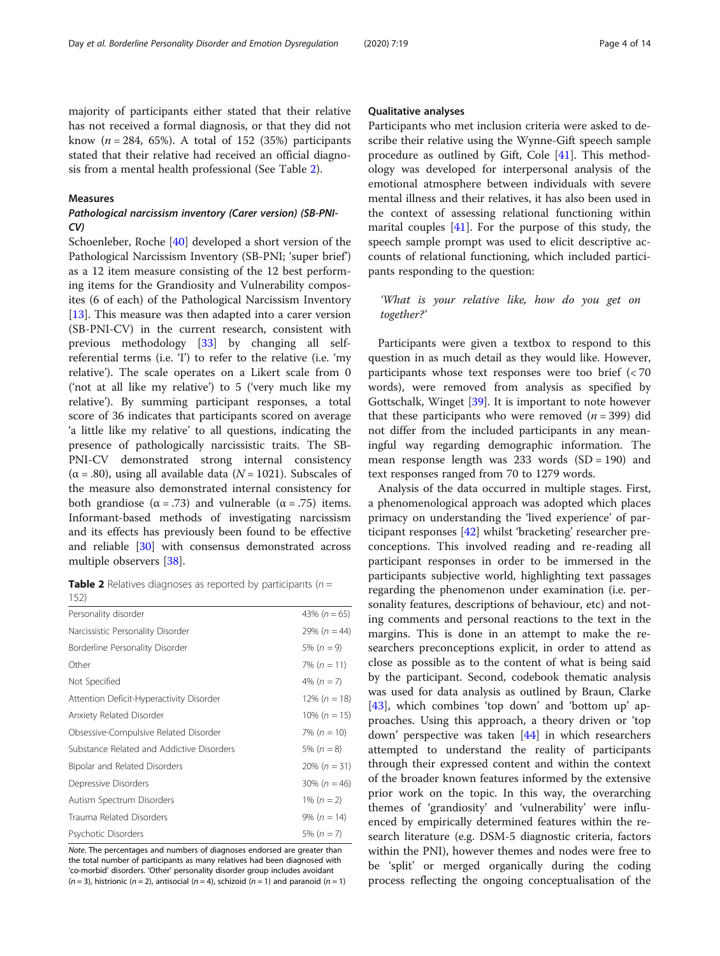<span id="page-3-0"></span>majority of participants either stated that their relative has not received a formal diagnosis, or that they did not know  $(n = 284, 65\%)$ . A total of 152 (35%) participants stated that their relative had received an official diagnosis from a mental health professional (See Table 2).

# Measures

# Pathological narcissism inventory (Carer version) (SB-PNI- $CV$

Schoenleber, Roche [[40\]](#page-12-0) developed a short version of the Pathological Narcissism Inventory (SB-PNI; 'super brief') as a 12 item measure consisting of the 12 best performing items for the Grandiosity and Vulnerability composites (6 of each) of the Pathological Narcissism Inventory [[13\]](#page-12-0). This measure was then adapted into a carer version (SB-PNI-CV) in the current research, consistent with previous methodology [[33](#page-12-0)] by changing all selfreferential terms (i.e. 'I') to refer to the relative (i.e. 'my relative'). The scale operates on a Likert scale from 0 ('not at all like my relative') to 5 ('very much like my relative'). By summing participant responses, a total score of 36 indicates that participants scored on average 'a little like my relative' to all questions, indicating the presence of pathologically narcissistic traits. The SB-PNI-CV demonstrated strong internal consistency  $(\alpha = .80)$ , using all available data  $(N = 1021)$ . Subscales of the measure also demonstrated internal consistency for both grandiose ( $\alpha = .73$ ) and vulnerable ( $\alpha = .75$ ) items. Informant-based methods of investigating narcissism and its effects has previously been found to be effective and reliable [\[30](#page-12-0)] with consensus demonstrated across multiple observers [\[38\]](#page-12-0).

**Table 2** Relatives diagnoses as reported by participants ( $n =$  $152$ 

| 1 J <sub>L</sub>                          |                  |
|-------------------------------------------|------------------|
| Personality disorder                      | 43% $(n = 65)$   |
| Narcissistic Personality Disorder         | $29\% (n = 44)$  |
| Borderline Personality Disorder           | 5% $(n = 9)$     |
| Other                                     | 7% $(n = 11)$    |
| Not Specified                             | 4% $(n = 7)$     |
| Attention Deficit-Hyperactivity Disorder  | $12\% (n = 18)$  |
| Anxiety Related Disorder                  | $10\% (n = 15)$  |
| Obsessive-Compulsive Related Disorder     | 7% ( $n = 10$ )  |
| Substance Related and Addictive Disorders | 5% $(n = 8)$     |
| Bipolar and Related Disorders             | $20\% (n = 31)$  |
| Depressive Disorders                      | 30% ( $n = 46$ ) |
| Autism Spectrum Disorders                 | 1% $(n = 2)$     |
| Trauma Related Disorders                  | $9\% (n = 14)$   |
| Psychotic Disorders                       | 5% $(n = 7)$     |

Note. The percentages and numbers of diagnoses endorsed are greater than the total number of participants as many relatives had been diagnosed with 'co-morbid' disorders. 'Other' personality disorder group includes avoidant  $(n = 3)$ , histrionic  $(n = 2)$ , antisocial  $(n = 4)$ , schizoid  $(n = 1)$  and paranoid  $(n = 1)$ 

#### Qualitative analyses

Participants who met inclusion criteria were asked to describe their relative using the Wynne-Gift speech sample procedure as outlined by Gift, Cole [\[41\]](#page-12-0). This methodology was developed for interpersonal analysis of the emotional atmosphere between individuals with severe mental illness and their relatives, it has also been used in the context of assessing relational functioning within marital couples [[41\]](#page-12-0). For the purpose of this study, the speech sample prompt was used to elicit descriptive accounts of relational functioning, which included participants responding to the question:

# 'What is your relative like, how do you get on together?'

Participants were given a textbox to respond to this question in as much detail as they would like. However, participants whose text responses were too brief (< 70 words), were removed from analysis as specified by Gottschalk, Winget [[39](#page-12-0)]. It is important to note however that these participants who were removed  $(n = 399)$  did not differ from the included participants in any meaningful way regarding demographic information. The mean response length was  $233$  words  $(SD = 190)$  and text responses ranged from 70 to 1279 words.

Analysis of the data occurred in multiple stages. First, a phenomenological approach was adopted which places primacy on understanding the 'lived experience' of participant responses [\[42\]](#page-12-0) whilst 'bracketing' researcher preconceptions. This involved reading and re-reading all participant responses in order to be immersed in the participants subjective world, highlighting text passages regarding the phenomenon under examination (i.e. personality features, descriptions of behaviour, etc) and noting comments and personal reactions to the text in the margins. This is done in an attempt to make the researchers preconceptions explicit, in order to attend as close as possible as to the content of what is being said by the participant. Second, codebook thematic analysis was used for data analysis as outlined by Braun, Clarke [[43\]](#page-12-0), which combines 'top down' and 'bottom up' approaches. Using this approach, a theory driven or 'top down' perspective was taken [[44](#page-12-0)] in which researchers attempted to understand the reality of participants through their expressed content and within the context of the broader known features informed by the extensive prior work on the topic. In this way, the overarching themes of 'grandiosity' and 'vulnerability' were influenced by empirically determined features within the research literature (e.g. DSM-5 diagnostic criteria, factors within the PNI), however themes and nodes were free to be 'split' or merged organically during the coding process reflecting the ongoing conceptualisation of the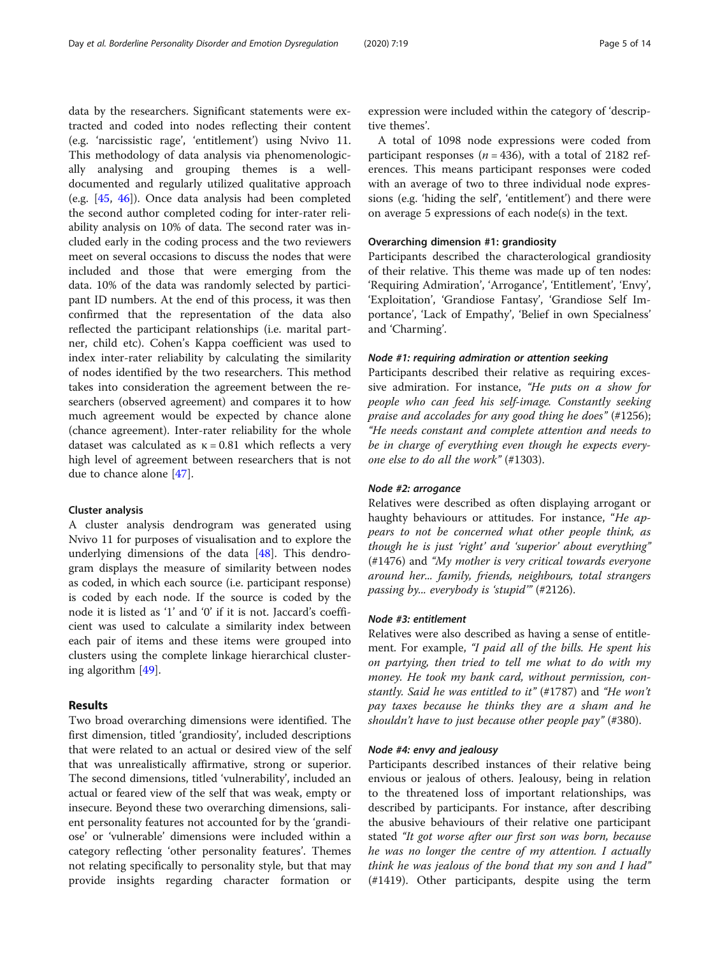data by the researchers. Significant statements were extracted and coded into nodes reflecting their content (e.g. 'narcissistic rage', 'entitlement') using Nvivo 11. This methodology of data analysis via phenomenologically analysing and grouping themes is a welldocumented and regularly utilized qualitative approach (e.g. [[45,](#page-13-0) [46](#page-13-0)]). Once data analysis had been completed the second author completed coding for inter-rater reliability analysis on 10% of data. The second rater was included early in the coding process and the two reviewers meet on several occasions to discuss the nodes that were included and those that were emerging from the data. 10% of the data was randomly selected by participant ID numbers. At the end of this process, it was then confirmed that the representation of the data also reflected the participant relationships (i.e. marital partner, child etc). Cohen's Kappa coefficient was used to index inter-rater reliability by calculating the similarity of nodes identified by the two researchers. This method takes into consideration the agreement between the researchers (observed agreement) and compares it to how much agreement would be expected by chance alone (chance agreement). Inter-rater reliability for the whole dataset was calculated as  $κ = 0.81$  which reflects a very high level of agreement between researchers that is not due to chance alone [\[47\]](#page-13-0).

# Cluster analysis

A cluster analysis dendrogram was generated using Nvivo 11 for purposes of visualisation and to explore the underlying dimensions of the data [\[48\]](#page-13-0). This dendrogram displays the measure of similarity between nodes as coded, in which each source (i.e. participant response) is coded by each node. If the source is coded by the node it is listed as '1' and '0' if it is not. Jaccard's coefficient was used to calculate a similarity index between each pair of items and these items were grouped into clusters using the complete linkage hierarchical clustering algorithm [\[49\]](#page-13-0).

# Results

Two broad overarching dimensions were identified. The first dimension, titled 'grandiosity', included descriptions that were related to an actual or desired view of the self that was unrealistically affirmative, strong or superior. The second dimensions, titled 'vulnerability', included an actual or feared view of the self that was weak, empty or insecure. Beyond these two overarching dimensions, salient personality features not accounted for by the 'grandiose' or 'vulnerable' dimensions were included within a category reflecting 'other personality features'. Themes not relating specifically to personality style, but that may provide insights regarding character formation or

expression were included within the category of 'descriptive themes'.

A total of 1098 node expressions were coded from participant responses ( $n = 436$ ), with a total of 2182 references. This means participant responses were coded with an average of two to three individual node expressions (e.g. 'hiding the self', 'entitlement') and there were on average 5 expressions of each node(s) in the text.

# Overarching dimension #1: grandiosity

Participants described the characterological grandiosity of their relative. This theme was made up of ten nodes: 'Requiring Admiration', 'Arrogance', 'Entitlement', 'Envy', 'Exploitation', 'Grandiose Fantasy', 'Grandiose Self Importance', 'Lack of Empathy', 'Belief in own Specialness' and 'Charming'.

# Node #1: requiring admiration or attention seeking

Participants described their relative as requiring excessive admiration. For instance, "He puts on a show for people who can feed his self-image. Constantly seeking praise and accolades for any good thing he does" (#1256); "He needs constant and complete attention and needs to be in charge of everything even though he expects everyone else to do all the work" (#1303).

# Node #2: arrogance

Relatives were described as often displaying arrogant or haughty behaviours or attitudes. For instance, "He appears to not be concerned what other people think, as though he is just 'right' and 'superior' about everything" (#1476) and "My mother is very critical towards everyone around her... family, friends, neighbours, total strangers passing by... everybody is 'stupid'" (#2126).

# Node #3: entitlement

Relatives were also described as having a sense of entitlement. For example, "I paid all of the bills. He spent his on partying, then tried to tell me what to do with my money. He took my bank card, without permission, constantly. Said he was entitled to it" (#1787) and "He won't pay taxes because he thinks they are a sham and he shouldn't have to just because other people pay" (#380).

#### Node #4: envy and jealousy

Participants described instances of their relative being envious or jealous of others. Jealousy, being in relation to the threatened loss of important relationships, was described by participants. For instance, after describing the abusive behaviours of their relative one participant stated "It got worse after our first son was born, because he was no longer the centre of my attention. I actually think he was jealous of the bond that my son and I had" (#1419). Other participants, despite using the term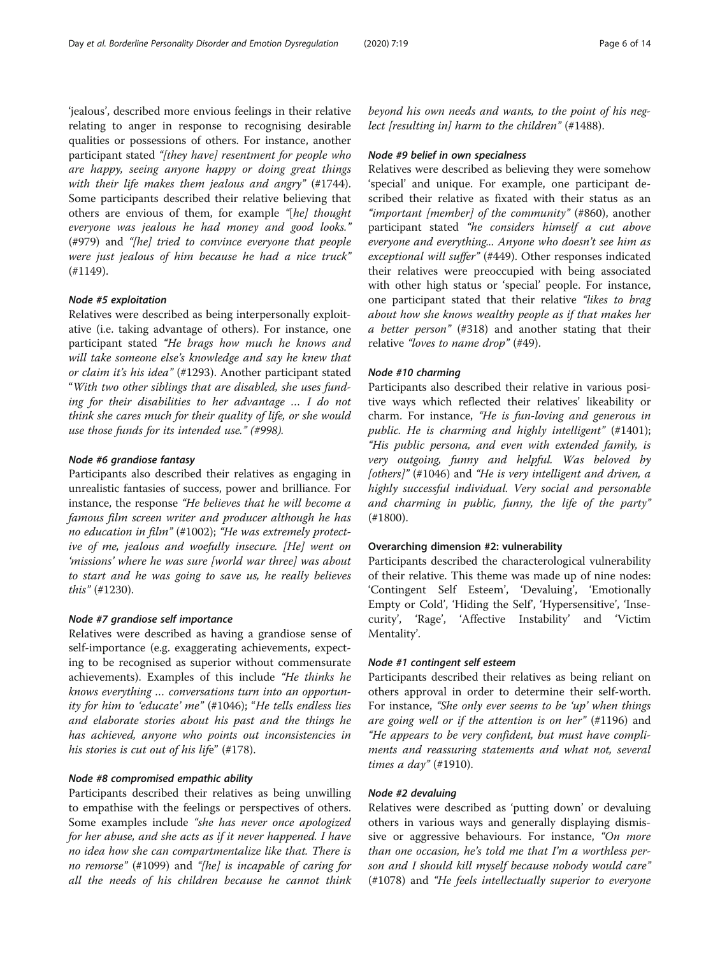'jealous', described more envious feelings in their relative relating to anger in response to recognising desirable qualities or possessions of others. For instance, another participant stated "[they have] resentment for people who are happy, seeing anyone happy or doing great things with their life makes them jealous and angry" (#1744). Some participants described their relative believing that others are envious of them, for example "[he] thought everyone was jealous he had money and good looks." (#979) and "[he] tried to convince everyone that people were just jealous of him because he had a nice truck" (#1149).

## Node #5 exploitation

Relatives were described as being interpersonally exploitative (i.e. taking advantage of others). For instance, one participant stated "He brags how much he knows and will take someone else's knowledge and say he knew that or claim it's his idea" (#1293). Another participant stated "With two other siblings that are disabled, she uses funding for their disabilities to her advantage … I do not think she cares much for their quality of life, or she would use those funds for its intended use." (#998).

## Node #6 grandiose fantasy

Participants also described their relatives as engaging in unrealistic fantasies of success, power and brilliance. For instance, the response "He believes that he will become a famous film screen writer and producer although he has no education in film" (#1002); "He was extremely protective of me, jealous and woefully insecure. [He] went on 'missions' where he was sure [world war three] was about to start and he was going to save us, he really believes this" (#1230).

# Node #7 grandiose self importance

Relatives were described as having a grandiose sense of self-importance (e.g. exaggerating achievements, expecting to be recognised as superior without commensurate achievements). Examples of this include "He thinks he knows everything … conversations turn into an opportunity for him to 'educate' me" (#1046); "He tells endless lies and elaborate stories about his past and the things he has achieved, anyone who points out inconsistencies in his stories is cut out of his life" (#178).

# Node #8 compromised empathic ability

Participants described their relatives as being unwilling to empathise with the feelings or perspectives of others. Some examples include "she has never once apologized for her abuse, and she acts as if it never happened. I have no idea how she can compartmentalize like that. There is no remorse" (#1099) and "[he] is incapable of caring for all the needs of his children because he cannot think

beyond his own needs and wants, to the point of his neglect [resulting in] harm to the children" (#1488).

#### Node #9 belief in own specialness

Relatives were described as believing they were somehow 'special' and unique. For example, one participant described their relative as fixated with their status as an "important [member] of the community" (#860), another participant stated "he considers himself a cut above everyone and everything... Anyone who doesn't see him as exceptional will suffer" (#449). Other responses indicated their relatives were preoccupied with being associated with other high status or 'special' people. For instance, one participant stated that their relative "likes to brag about how she knows wealthy people as if that makes her a better person" (#318) and another stating that their relative "loves to name drop" (#49).

# Node #10 charming

Participants also described their relative in various positive ways which reflected their relatives' likeability or charm. For instance, "He is fun-loving and generous in public. He is charming and highly intelligent" (#1401); "His public persona, and even with extended family, is very outgoing, funny and helpful. Was beloved by  $[others]$ " (#1046) and "He is very intelligent and driven, a highly successful individual. Very social and personable and charming in public, funny, the life of the party" (#1800).

# Overarching dimension #2: vulnerability

Participants described the characterological vulnerability of their relative. This theme was made up of nine nodes: 'Contingent Self Esteem', 'Devaluing', 'Emotionally Empty or Cold', 'Hiding the Self', 'Hypersensitive', 'Insecurity', 'Rage', 'Affective Instability' and 'Victim Mentality'.

#### Node #1 contingent self esteem

Participants described their relatives as being reliant on others approval in order to determine their self-worth. For instance, "She only ever seems to be 'up' when things are going well or if the attention is on her" (#1196) and "He appears to be very confident, but must have compliments and reassuring statements and what not, several times a day" (#1910).

#### Node #2 devaluing

Relatives were described as 'putting down' or devaluing others in various ways and generally displaying dismissive or aggressive behaviours. For instance, "On more than one occasion, he's told me that I'm a worthless person and I should kill myself because nobody would care" (#1078) and "He feels intellectually superior to everyone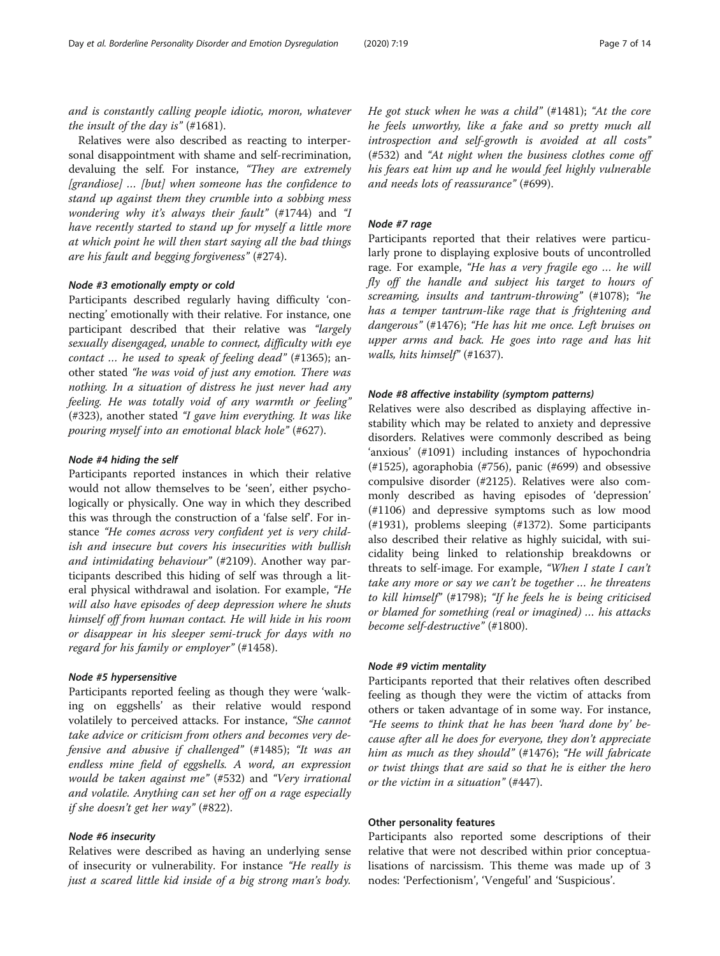Relatives were also described as reacting to interpersonal disappointment with shame and self-recrimination, devaluing the self. For instance, "They are extremely [grandiose] … [but] when someone has the confidence to stand up against them they crumble into a sobbing mess wondering why it's always their fault" (#1744) and "I have recently started to stand up for myself a little more at which point he will then start saying all the bad things are his fault and begging forgiveness" (#274).

# Node #3 emotionally empty or cold

Participants described regularly having difficulty 'connecting' emotionally with their relative. For instance, one participant described that their relative was "largely sexually disengaged, unable to connect, difficulty with eye contact … he used to speak of feeling dead" (#1365); another stated "he was void of just any emotion. There was nothing. In a situation of distress he just never had any feeling. He was totally void of any warmth or feeling" (#323), another stated "I gave him everything. It was like pouring myself into an emotional black hole" (#627).

# Node #4 hiding the self

Participants reported instances in which their relative would not allow themselves to be 'seen', either psychologically or physically. One way in which they described this was through the construction of a 'false self'. For instance "He comes across very confident yet is very childish and insecure but covers his insecurities with bullish and intimidating behaviour" (#2109). Another way participants described this hiding of self was through a literal physical withdrawal and isolation. For example, "He will also have episodes of deep depression where he shuts himself off from human contact. He will hide in his room or disappear in his sleeper semi-truck for days with no regard for his family or employer" (#1458).

# Node #5 hypersensitive

Participants reported feeling as though they were 'walking on eggshells' as their relative would respond volatilely to perceived attacks. For instance, "She cannot take advice or criticism from others and becomes very defensive and abusive if challenged" (#1485); "It was an endless mine field of eggshells. A word, an expression would be taken against me" (#532) and "Very irrational and volatile. Anything can set her off on a rage especially if she doesn't get her way" (#822).

# Node #6 insecurity

Relatives were described as having an underlying sense of insecurity or vulnerability. For instance "He really is just a scared little kid inside of a big strong man's body. He got stuck when he was a child" (#1481); "At the core he feels unworthy, like a fake and so pretty much all introspection and self-growth is avoided at all costs" (#532) and "At night when the business clothes come off his fears eat him up and he would feel highly vulnerable and needs lots of reassurance" (#699).

# Node #7 rage

Participants reported that their relatives were particularly prone to displaying explosive bouts of uncontrolled rage. For example, "He has a very fragile ego … he will fly off the handle and subject his target to hours of screaming, insults and tantrum-throwing" (#1078); "he has a temper tantrum-like rage that is frightening and dangerous" (#1476); "He has hit me once. Left bruises on upper arms and back. He goes into rage and has hit walls, hits himself" (#1637).

# Node #8 affective instability (symptom patterns)

Relatives were also described as displaying affective instability which may be related to anxiety and depressive disorders. Relatives were commonly described as being 'anxious' (#1091) including instances of hypochondria (#1525), agoraphobia (#756), panic (#699) and obsessive compulsive disorder (#2125). Relatives were also commonly described as having episodes of 'depression' (#1106) and depressive symptoms such as low mood (#1931), problems sleeping (#1372). Some participants also described their relative as highly suicidal, with suicidality being linked to relationship breakdowns or threats to self-image. For example, "When I state I can't take any more or say we can't be together … he threatens to kill himself" (#1798); "If he feels he is being criticised or blamed for something (real or imagined) … his attacks become self-destructive" (#1800).

# Node #9 victim mentality

Participants reported that their relatives often described feeling as though they were the victim of attacks from others or taken advantage of in some way. For instance, "He seems to think that he has been 'hard done by' because after all he does for everyone, they don't appreciate him as much as they should" (#1476); "He will fabricate or twist things that are said so that he is either the hero or the victim in a situation" (#447).

# Other personality features

Participants also reported some descriptions of their relative that were not described within prior conceptualisations of narcissism. This theme was made up of 3 nodes: 'Perfectionism', 'Vengeful' and 'Suspicious'.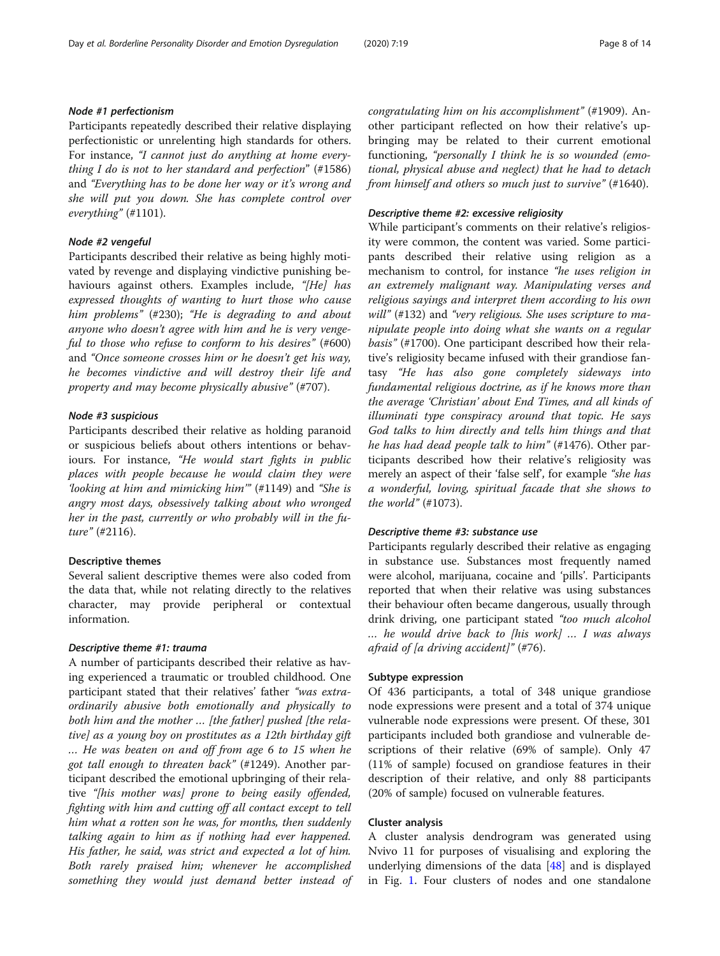# Node #1 perfectionism

Participants repeatedly described their relative displaying perfectionistic or unrelenting high standards for others. For instance, "I cannot just do anything at home everything I do is not to her standard and perfection" (#1586) and "Everything has to be done her way or it's wrong and she will put you down. She has complete control over everything" (#1101).

# Node #2 vengeful

Participants described their relative as being highly motivated by revenge and displaying vindictive punishing behaviours against others. Examples include, "[He] has expressed thoughts of wanting to hurt those who cause him problems" (#230); "He is degrading to and about anyone who doesn't agree with him and he is very vengeful to those who refuse to conform to his desires" (#600) and "Once someone crosses him or he doesn't get his way, he becomes vindictive and will destroy their life and property and may become physically abusive" (#707).

## Node #3 suspicious

Participants described their relative as holding paranoid or suspicious beliefs about others intentions or behaviours. For instance, "He would start fights in public places with people because he would claim they were 'looking at him and mimicking him'" (#1149) and "She is angry most days, obsessively talking about who wronged her in the past, currently or who probably will in the future" (#2116).

## Descriptive themes

Several salient descriptive themes were also coded from the data that, while not relating directly to the relatives character, may provide peripheral or contextual information.

# Descriptive theme #1: trauma

A number of participants described their relative as having experienced a traumatic or troubled childhood. One participant stated that their relatives' father "was extraordinarily abusive both emotionally and physically to both him and the mother … [the father] pushed [the relative] as a young boy on prostitutes as a 12th birthday gift … He was beaten on and off from age 6 to 15 when he got tall enough to threaten back" (#1249). Another participant described the emotional upbringing of their relative "[his mother was] prone to being easily offended, fighting with him and cutting off all contact except to tell him what a rotten son he was, for months, then suddenly talking again to him as if nothing had ever happened. His father, he said, was strict and expected a lot of him. Both rarely praised him; whenever he accomplished something they would just demand better instead of congratulating him on his accomplishment" (#1909). Another participant reflected on how their relative's upbringing may be related to their current emotional functioning, "personally I think he is so wounded (emotional, physical abuse and neglect) that he had to detach from himself and others so much just to survive" (#1640).

# Descriptive theme #2: excessive religiosity

While participant's comments on their relative's religiosity were common, the content was varied. Some participants described their relative using religion as a mechanism to control, for instance "he uses religion in an extremely malignant way. Manipulating verses and religious sayings and interpret them according to his own will" (#132) and "very religious. She uses scripture to manipulate people into doing what she wants on a regular basis" (#1700). One participant described how their relative's religiosity became infused with their grandiose fantasy "He has also gone completely sideways into fundamental religious doctrine, as if he knows more than the average 'Christian' about End Times, and all kinds of illuminati type conspiracy around that topic. He says God talks to him directly and tells him things and that he has had dead people talk to him" (#1476). Other participants described how their relative's religiosity was merely an aspect of their 'false self', for example "she has a wonderful, loving, spiritual facade that she shows to the world"  $(\#1073)$ .

# Descriptive theme #3: substance use

Participants regularly described their relative as engaging in substance use. Substances most frequently named were alcohol, marijuana, cocaine and 'pills'. Participants reported that when their relative was using substances their behaviour often became dangerous, usually through drink driving, one participant stated "too much alcohol … he would drive back to [his work] … I was always afraid of [a driving accident]" (#76).

#### Subtype expression

Of 436 participants, a total of 348 unique grandiose node expressions were present and a total of 374 unique vulnerable node expressions were present. Of these, 301 participants included both grandiose and vulnerable descriptions of their relative (69% of sample). Only 47 (11% of sample) focused on grandiose features in their description of their relative, and only 88 participants (20% of sample) focused on vulnerable features.

# Cluster analysis

A cluster analysis dendrogram was generated using Nvivo 11 for purposes of visualising and exploring the underlying dimensions of the data [\[48\]](#page-13-0) and is displayed in Fig. [1.](#page-8-0) Four clusters of nodes and one standalone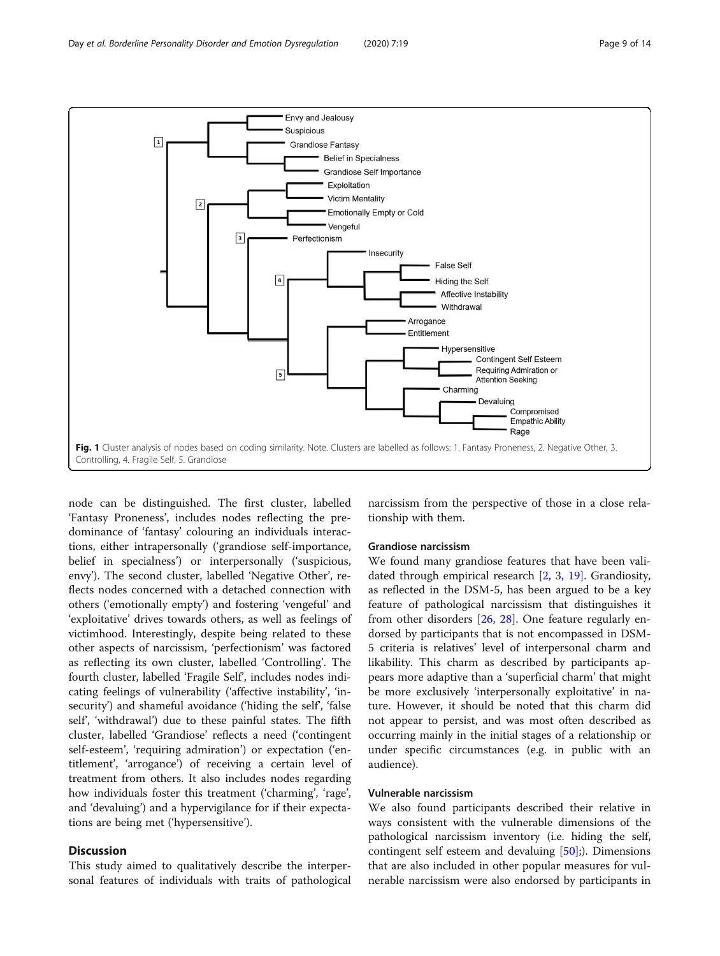<span id="page-8-0"></span>

node can be distinguished. The first cluster, labelled 'Fantasy Proneness', includes nodes reflecting the predominance of 'fantasy' colouring an individuals interactions, either intrapersonally ('grandiose self-importance, belief in specialness') or interpersonally ('suspicious, envy'). The second cluster, labelled 'Negative Other', reflects nodes concerned with a detached connection with others ('emotionally empty') and fostering 'vengeful' and 'exploitative' drives towards others, as well as feelings of victimhood. Interestingly, despite being related to these other aspects of narcissism, 'perfectionism' was factored as reflecting its own cluster, labelled 'Controlling'. The fourth cluster, labelled 'Fragile Self', includes nodes indicating feelings of vulnerability ('affective instability', 'insecurity') and shameful avoidance ('hiding the self', 'false self', 'withdrawal') due to these painful states. The fifth cluster, labelled 'Grandiose' reflects a need ('contingent self-esteem', 'requiring admiration') or expectation ('entitlement', 'arrogance') of receiving a certain level of treatment from others. It also includes nodes regarding how individuals foster this treatment ('charming', 'rage', and 'devaluing') and a hypervigilance for if their expectations are being met ('hypersensitive').

# **Discussion**

This study aimed to qualitatively describe the interpersonal features of individuals with traits of pathological narcissism from the perspective of those in a close relationship with them.

# Grandiose narcissism

We found many grandiose features that have been validated through empirical research [[2,](#page-12-0) [3,](#page-12-0) [19](#page-12-0)]. Grandiosity, as reflected in the DSM-5, has been argued to be a key feature of pathological narcissism that distinguishes it from other disorders [\[26,](#page-12-0) [28\]](#page-12-0). One feature regularly endorsed by participants that is not encompassed in DSM-5 criteria is relatives' level of interpersonal charm and likability. This charm as described by participants appears more adaptive than a 'superficial charm' that might be more exclusively 'interpersonally exploitative' in nature. However, it should be noted that this charm did not appear to persist, and was most often described as occurring mainly in the initial stages of a relationship or under specific circumstances (e.g. in public with an audience).

# Vulnerable narcissism

We also found participants described their relative in ways consistent with the vulnerable dimensions of the pathological narcissism inventory (i.e. hiding the self, contingent self esteem and devaluing [\[50\]](#page-13-0);). Dimensions that are also included in other popular measures for vulnerable narcissism were also endorsed by participants in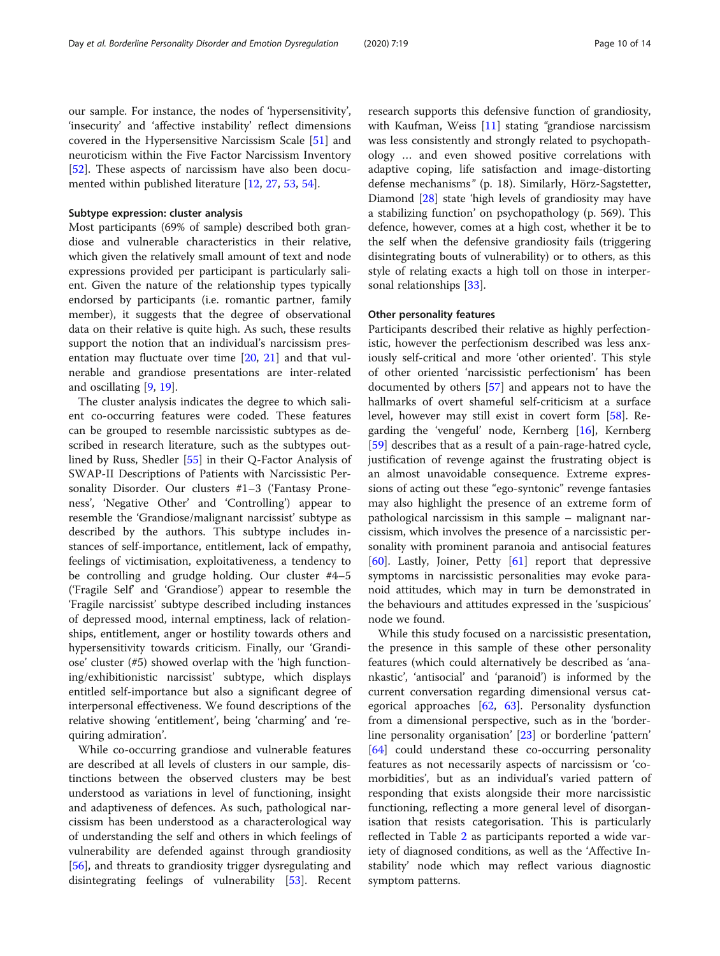our sample. For instance, the nodes of 'hypersensitivity', 'insecurity' and 'affective instability' reflect dimensions covered in the Hypersensitive Narcissism Scale [[51\]](#page-13-0) and neuroticism within the Five Factor Narcissism Inventory [[52\]](#page-13-0). These aspects of narcissism have also been documented within published literature [\[12,](#page-12-0) [27,](#page-12-0) [53,](#page-13-0) [54\]](#page-13-0).

# Subtype expression: cluster analysis

Most participants (69% of sample) described both grandiose and vulnerable characteristics in their relative, which given the relatively small amount of text and node expressions provided per participant is particularly salient. Given the nature of the relationship types typically endorsed by participants (i.e. romantic partner, family member), it suggests that the degree of observational data on their relative is quite high. As such, these results support the notion that an individual's narcissism presentation may fluctuate over time [\[20](#page-12-0), [21](#page-12-0)] and that vulnerable and grandiose presentations are inter-related and oscillating [[9,](#page-12-0) [19\]](#page-12-0).

The cluster analysis indicates the degree to which salient co-occurring features were coded. These features can be grouped to resemble narcissistic subtypes as described in research literature, such as the subtypes outlined by Russ, Shedler [[55](#page-13-0)] in their Q-Factor Analysis of SWAP-II Descriptions of Patients with Narcissistic Personality Disorder. Our clusters #1–3 ('Fantasy Proneness', 'Negative Other' and 'Controlling') appear to resemble the 'Grandiose/malignant narcissist' subtype as described by the authors. This subtype includes instances of self-importance, entitlement, lack of empathy, feelings of victimisation, exploitativeness, a tendency to be controlling and grudge holding. Our cluster #4–5 ('Fragile Self' and 'Grandiose') appear to resemble the 'Fragile narcissist' subtype described including instances of depressed mood, internal emptiness, lack of relationships, entitlement, anger or hostility towards others and hypersensitivity towards criticism. Finally, our 'Grandiose' cluster (#5) showed overlap with the 'high functioning/exhibitionistic narcissist' subtype, which displays entitled self-importance but also a significant degree of interpersonal effectiveness. We found descriptions of the relative showing 'entitlement', being 'charming' and 'requiring admiration'.

While co-occurring grandiose and vulnerable features are described at all levels of clusters in our sample, distinctions between the observed clusters may be best understood as variations in level of functioning, insight and adaptiveness of defences. As such, pathological narcissism has been understood as a characterological way of understanding the self and others in which feelings of vulnerability are defended against through grandiosity [[56\]](#page-13-0), and threats to grandiosity trigger dysregulating and disintegrating feelings of vulnerability [\[53\]](#page-13-0). Recent

research supports this defensive function of grandiosity, with Kaufman, Weiss [\[11](#page-12-0)] stating "grandiose narcissism was less consistently and strongly related to psychopathology … and even showed positive correlations with adaptive coping, life satisfaction and image-distorting defense mechanisms" (p. 18). Similarly, Hörz-Sagstetter, Diamond [[28\]](#page-12-0) state 'high levels of grandiosity may have a stabilizing function' on psychopathology (p. 569). This defence, however, comes at a high cost, whether it be to the self when the defensive grandiosity fails (triggering disintegrating bouts of vulnerability) or to others, as this style of relating exacts a high toll on those in interpersonal relationships [[33\]](#page-12-0).

## Other personality features

Participants described their relative as highly perfectionistic, however the perfectionism described was less anxiously self-critical and more 'other oriented'. This style of other oriented 'narcissistic perfectionism' has been documented by others [\[57](#page-13-0)] and appears not to have the hallmarks of overt shameful self-criticism at a surface level, however may still exist in covert form [[58](#page-13-0)]. Regarding the 'vengeful' node, Kernberg [[16](#page-12-0)], Kernberg [[59\]](#page-13-0) describes that as a result of a pain-rage-hatred cycle, justification of revenge against the frustrating object is an almost unavoidable consequence. Extreme expressions of acting out these "ego-syntonic" revenge fantasies may also highlight the presence of an extreme form of pathological narcissism in this sample – malignant narcissism, which involves the presence of a narcissistic personality with prominent paranoia and antisocial features [[60\]](#page-13-0). Lastly, Joiner, Petty  $[61]$  $[61]$  report that depressive symptoms in narcissistic personalities may evoke paranoid attitudes, which may in turn be demonstrated in the behaviours and attitudes expressed in the 'suspicious' node we found.

While this study focused on a narcissistic presentation, the presence in this sample of these other personality features (which could alternatively be described as 'anankastic', 'antisocial' and 'paranoid') is informed by the current conversation regarding dimensional versus categorical approaches [[62,](#page-13-0) [63](#page-13-0)]. Personality dysfunction from a dimensional perspective, such as in the 'borderline personality organisation' [[23](#page-12-0)] or borderline 'pattern' [[64\]](#page-13-0) could understand these co-occurring personality features as not necessarily aspects of narcissism or 'comorbidities', but as an individual's varied pattern of responding that exists alongside their more narcissistic functioning, reflecting a more general level of disorganisation that resists categorisation. This is particularly reflected in Table [2](#page-3-0) as participants reported a wide variety of diagnosed conditions, as well as the 'Affective Instability' node which may reflect various diagnostic symptom patterns.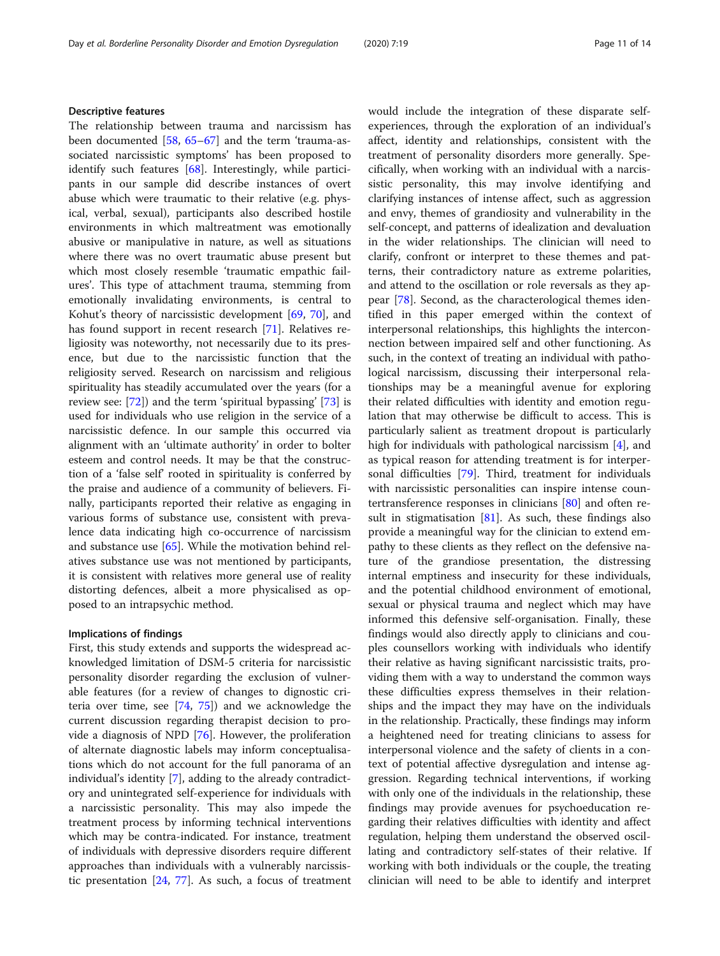The relationship between trauma and narcissism has been documented [\[58](#page-13-0), [65](#page-13-0)–[67\]](#page-13-0) and the term 'trauma-associated narcissistic symptoms' has been proposed to identify such features [\[68\]](#page-13-0). Interestingly, while participants in our sample did describe instances of overt abuse which were traumatic to their relative (e.g. physical, verbal, sexual), participants also described hostile environments in which maltreatment was emotionally abusive or manipulative in nature, as well as situations where there was no overt traumatic abuse present but which most closely resemble 'traumatic empathic failures'. This type of attachment trauma, stemming from emotionally invalidating environments, is central to Kohut's theory of narcissistic development [[69,](#page-13-0) [70](#page-13-0)], and has found support in recent research [\[71\]](#page-13-0). Relatives religiosity was noteworthy, not necessarily due to its presence, but due to the narcissistic function that the religiosity served. Research on narcissism and religious spirituality has steadily accumulated over the years (for a review see: [[72\]](#page-13-0)) and the term 'spiritual bypassing' [\[73](#page-13-0)] is used for individuals who use religion in the service of a narcissistic defence. In our sample this occurred via alignment with an 'ultimate authority' in order to bolter esteem and control needs. It may be that the construction of a 'false self' rooted in spirituality is conferred by the praise and audience of a community of believers. Finally, participants reported their relative as engaging in various forms of substance use, consistent with prevalence data indicating high co-occurrence of narcissism and substance use [[65\]](#page-13-0). While the motivation behind relatives substance use was not mentioned by participants, it is consistent with relatives more general use of reality distorting defences, albeit a more physicalised as opposed to an intrapsychic method.

#### Implications of findings

First, this study extends and supports the widespread acknowledged limitation of DSM-5 criteria for narcissistic personality disorder regarding the exclusion of vulnerable features (for a review of changes to dignostic criteria over time, see [[74](#page-13-0), [75\]](#page-13-0)) and we acknowledge the current discussion regarding therapist decision to provide a diagnosis of NPD [\[76](#page-13-0)]. However, the proliferation of alternate diagnostic labels may inform conceptualisations which do not account for the full panorama of an individual's identity [[7\]](#page-12-0), adding to the already contradictory and unintegrated self-experience for individuals with a narcissistic personality. This may also impede the treatment process by informing technical interventions which may be contra-indicated. For instance, treatment of individuals with depressive disorders require different approaches than individuals with a vulnerably narcissistic presentation  $[24, 77]$  $[24, 77]$  $[24, 77]$  $[24, 77]$ . As such, a focus of treatment would include the integration of these disparate selfexperiences, through the exploration of an individual's affect, identity and relationships, consistent with the treatment of personality disorders more generally. Specifically, when working with an individual with a narcissistic personality, this may involve identifying and clarifying instances of intense affect, such as aggression and envy, themes of grandiosity and vulnerability in the self-concept, and patterns of idealization and devaluation in the wider relationships. The clinician will need to clarify, confront or interpret to these themes and patterns, their contradictory nature as extreme polarities, and attend to the oscillation or role reversals as they appear [\[78](#page-13-0)]. Second, as the characterological themes identified in this paper emerged within the context of interpersonal relationships, this highlights the interconnection between impaired self and other functioning. As such, in the context of treating an individual with pathological narcissism, discussing their interpersonal relationships may be a meaningful avenue for exploring their related difficulties with identity and emotion regulation that may otherwise be difficult to access. This is particularly salient as treatment dropout is particularly high for individuals with pathological narcissism [\[4](#page-12-0)], and as typical reason for attending treatment is for interpersonal difficulties [[79\]](#page-13-0). Third, treatment for individuals with narcissistic personalities can inspire intense countertransference responses in clinicians [[80\]](#page-13-0) and often result in stigmatisation  $[81]$  $[81]$  $[81]$ . As such, these findings also provide a meaningful way for the clinician to extend empathy to these clients as they reflect on the defensive nature of the grandiose presentation, the distressing internal emptiness and insecurity for these individuals, and the potential childhood environment of emotional, sexual or physical trauma and neglect which may have informed this defensive self-organisation. Finally, these findings would also directly apply to clinicians and couples counsellors working with individuals who identify their relative as having significant narcissistic traits, providing them with a way to understand the common ways these difficulties express themselves in their relationships and the impact they may have on the individuals in the relationship. Practically, these findings may inform a heightened need for treating clinicians to assess for interpersonal violence and the safety of clients in a context of potential affective dysregulation and intense aggression. Regarding technical interventions, if working with only one of the individuals in the relationship, these findings may provide avenues for psychoeducation regarding their relatives difficulties with identity and affect regulation, helping them understand the observed oscillating and contradictory self-states of their relative. If working with both individuals or the couple, the treating clinician will need to be able to identify and interpret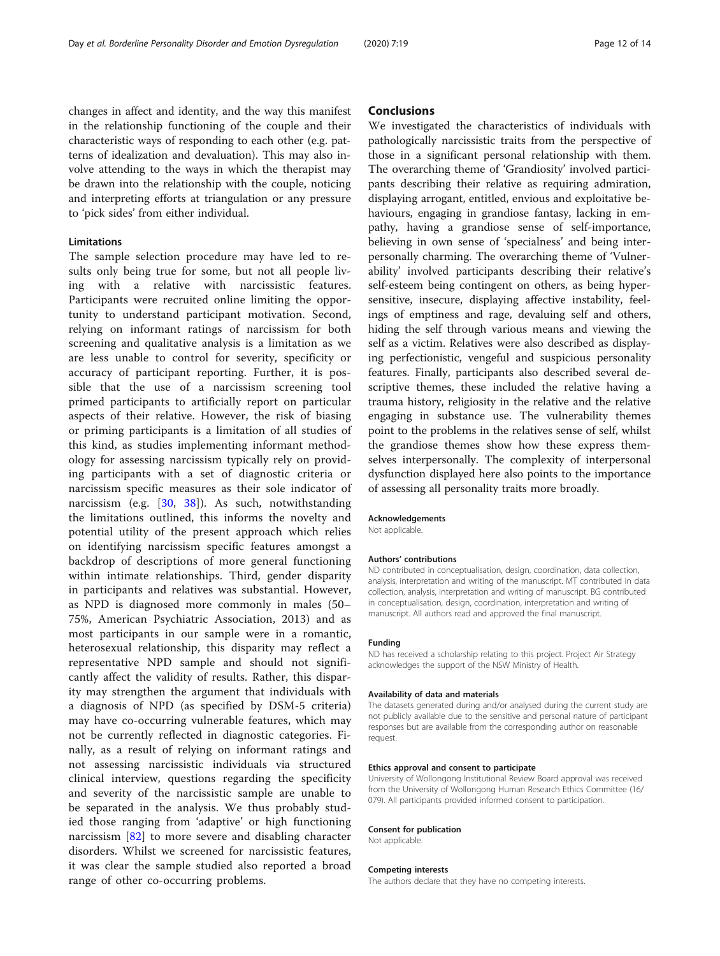changes in affect and identity, and the way this manifest in the relationship functioning of the couple and their characteristic ways of responding to each other (e.g. patterns of idealization and devaluation). This may also involve attending to the ways in which the therapist may be drawn into the relationship with the couple, noticing and interpreting efforts at triangulation or any pressure to 'pick sides' from either individual.

# Limitations

The sample selection procedure may have led to results only being true for some, but not all people living with a relative with narcissistic features. Participants were recruited online limiting the opportunity to understand participant motivation. Second, relying on informant ratings of narcissism for both screening and qualitative analysis is a limitation as we are less unable to control for severity, specificity or accuracy of participant reporting. Further, it is possible that the use of a narcissism screening tool primed participants to artificially report on particular aspects of their relative. However, the risk of biasing or priming participants is a limitation of all studies of this kind, as studies implementing informant methodology for assessing narcissism typically rely on providing participants with a set of diagnostic criteria or narcissism specific measures as their sole indicator of narcissism (e.g. [[30](#page-12-0), [38](#page-12-0)]). As such, notwithstanding the limitations outlined, this informs the novelty and potential utility of the present approach which relies on identifying narcissism specific features amongst a backdrop of descriptions of more general functioning within intimate relationships. Third, gender disparity in participants and relatives was substantial. However, as NPD is diagnosed more commonly in males (50– 75%, American Psychiatric Association, 2013) and as most participants in our sample were in a romantic, heterosexual relationship, this disparity may reflect a representative NPD sample and should not significantly affect the validity of results. Rather, this disparity may strengthen the argument that individuals with a diagnosis of NPD (as specified by DSM-5 criteria) may have co-occurring vulnerable features, which may not be currently reflected in diagnostic categories. Finally, as a result of relying on informant ratings and not assessing narcissistic individuals via structured clinical interview, questions regarding the specificity and severity of the narcissistic sample are unable to be separated in the analysis. We thus probably studied those ranging from 'adaptive' or high functioning narcissism [\[82](#page-13-0)] to more severe and disabling character disorders. Whilst we screened for narcissistic features, it was clear the sample studied also reported a broad range of other co-occurring problems.

# **Conclusions**

We investigated the characteristics of individuals with pathologically narcissistic traits from the perspective of those in a significant personal relationship with them. The overarching theme of 'Grandiosity' involved participants describing their relative as requiring admiration, displaying arrogant, entitled, envious and exploitative behaviours, engaging in grandiose fantasy, lacking in empathy, having a grandiose sense of self-importance, believing in own sense of 'specialness' and being interpersonally charming. The overarching theme of 'Vulnerability' involved participants describing their relative's self-esteem being contingent on others, as being hypersensitive, insecure, displaying affective instability, feelings of emptiness and rage, devaluing self and others, hiding the self through various means and viewing the self as a victim. Relatives were also described as displaying perfectionistic, vengeful and suspicious personality features. Finally, participants also described several descriptive themes, these included the relative having a trauma history, religiosity in the relative and the relative engaging in substance use. The vulnerability themes point to the problems in the relatives sense of self, whilst the grandiose themes show how these express themselves interpersonally. The complexity of interpersonal dysfunction displayed here also points to the importance of assessing all personality traits more broadly.

#### Acknowledgements

Not applicable.

#### Authors' contributions

ND contributed in conceptualisation, design, coordination, data collection, analysis, interpretation and writing of the manuscript. MT contributed in data collection, analysis, interpretation and writing of manuscript. BG contributed in conceptualisation, design, coordination, interpretation and writing of manuscript. All authors read and approved the final manuscript.

#### Funding

ND has received a scholarship relating to this project. Project Air Strategy acknowledges the support of the NSW Ministry of Health.

#### Availability of data and materials

The datasets generated during and/or analysed during the current study are not publicly available due to the sensitive and personal nature of participant responses but are available from the corresponding author on reasonable request.

#### Ethics approval and consent to participate

University of Wollongong Institutional Review Board approval was received from the University of Wollongong Human Research Ethics Committee (16/ 079). All participants provided informed consent to participation.

#### Consent for publication

Not applicable.

#### Competing interests

The authors declare that they have no competing interests.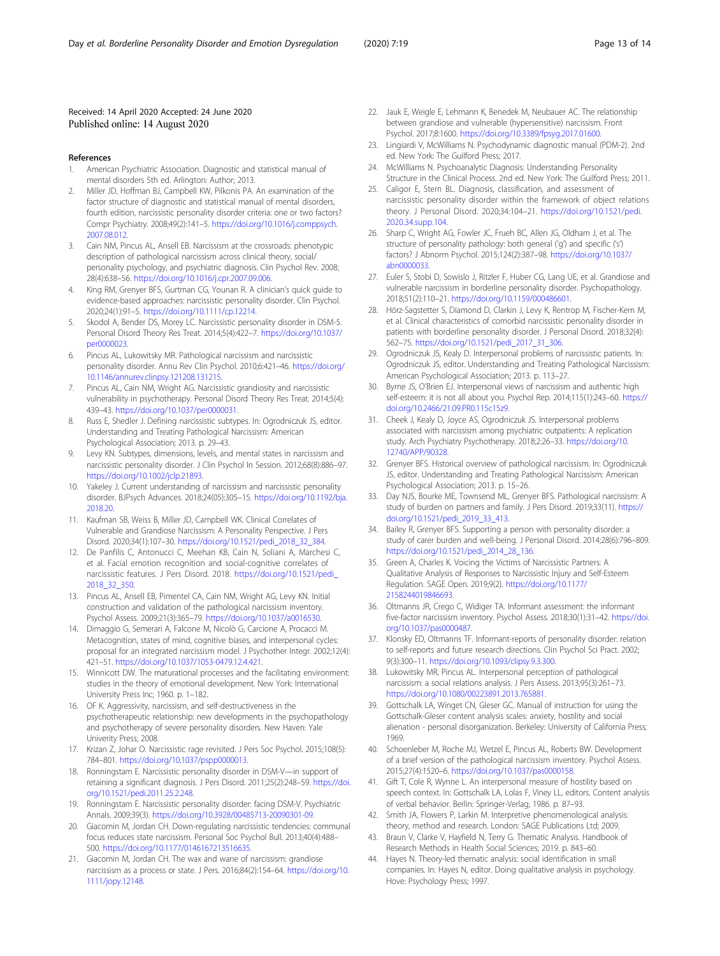#### <span id="page-12-0"></span>Received: 14 April 2020 Accepted: 24 June 2020 Published online: 14 August 2020

#### References

- 1. American Psychiatric Association. Diagnostic and statistical manual of mental disorders 5th ed. Arlington: Author; 2013.
- Miller JD, Hoffman BJ, Campbell KW, Pilkonis PA. An examination of the factor structure of diagnostic and statistical manual of mental disorders, fourth edition, narcissistic personality disorder criteria: one or two factors? Compr Psychiatry. 2008;49(2):141–5. [https://doi.org/10.1016/j.comppsych.](https://doi.org/10.1016/j.comppsych.2007.08.012) [2007.08.012.](https://doi.org/10.1016/j.comppsych.2007.08.012)
- 3. Cain NM, Pincus AL, Ansell EB. Narcissism at the crossroads: phenotypic description of pathological narcissism across clinical theory, social/ personality psychology, and psychiatric diagnosis. Clin Psychol Rev. 2008; 28(4):638–56. [https://doi.org/10.1016/j.cpr.2007.09.006.](https://doi.org/10.1016/j.cpr.2007.09.006)
- 4. King RM, Grenyer BFS, Gurtman CG, Younan R. A clinician's quick guide to evidence-based approaches: narcissistic personality disorder. Clin Psychol. 2020;24(1):91–5. <https://doi.org/10.1111/cp.12214>.
- 5. Skodol A, Bender DS, Morey LC. Narcissistic personality disorder in DSM-5. Personal Disord Theory Res Treat. 2014;5(4):422–7. [https://doi.org/10.1037/](https://doi.org/10.1037/per0000023) [per0000023.](https://doi.org/10.1037/per0000023)
- 6. Pincus AL, Lukowitsky MR. Pathological narcissism and narcissistic personality disorder. Annu Rev Clin Psychol. 2010;6:421–46. [https://doi.org/](https://doi.org/10.1146/annurev.clinpsy.121208.131215) [10.1146/annurev.clinpsy.121208.131215.](https://doi.org/10.1146/annurev.clinpsy.121208.131215)
- 7. Pincus AL, Cain NM, Wright AG. Narcissistic grandiosity and narcissistic vulnerability in psychotherapy. Personal Disord Theory Res Treat. 2014;5(4): 439–43. <https://doi.org/10.1037/per0000031>.
- 8. Russ E, Shedler J. Defining narcissistic subtypes. In: Ogrodniczuk JS, editor. Understanding and Treating Pathological Narcissism: American Psychological Association; 2013. p. 29–43.
- 9. Levy KN. Subtypes, dimensions, levels, and mental states in narcissism and narcissistic personality disorder. J Clin Psychol In Session. 2012;68(8):886–97. <https://doi.org/10.1002/jclp.21893>.
- 10. Yakeley J. Current understanding of narcissism and narcissistic personality disorder. BJPsych Advances. 2018;24(05):305–15. [https://doi.org/10.1192/bja.](https://doi.org/10.1192/bja.2018.20) [2018.20](https://doi.org/10.1192/bja.2018.20).
- 11. Kaufman SB, Weiss B, Miller JD, Campbell WK. Clinical Correlates of Vulnerable and Grandiose Narcissism: A Personality Perspective. J Pers Disord. 2020;34(1):107–30. [https://doi.org/10.1521/pedi\\_2018\\_32\\_384.](https://doi.org/10.1521/pedi_2018_32_384)
- 12. De Panfilis C, Antonucci C, Meehan KB, Cain N, Soliani A, Marchesi C, et al. Facial emotion recognition and social-cognitive correlates of narcissistic features. J Pers Disord. 2018. [https://doi.org/10.1521/pedi\\_](https://doi.org/10.1521/pedi_2018_32_350) [2018\\_32\\_350](https://doi.org/10.1521/pedi_2018_32_350).
- 13. Pincus AL, Ansell EB, Pimentel CA, Cain NM, Wright AG, Levy KN. Initial construction and validation of the pathological narcissism inventory. Psychol Assess. 2009;21(3):365–79. [https://doi.org/10.1037/a0016530.](https://doi.org/10.1037/a0016530)
- 14. Dimaggio G, Semerari A, Falcone M, Nicolò G, Carcione A, Procacci M. Metacognition, states of mind, cognitive biases, and interpersonal cycles: proposal for an integrated narcissism model. J Psychother Integr. 2002;12(4): 421–51. <https://doi.org/10.1037/1053-0479.12.4.421>.
- 15. Winnicott DW. The maturational processes and the facilitating environment: studies in the theory of emotional development. New York: International University Press Inc; 1960. p. 1–182.
- 16. OF K. Aggressivity, narcissism, and self-destructiveness in the psychotherapeutic relationship: new developments in the psychopathology and psychotherapy of severe personality disorders. New Haven: Yale Univerity Press; 2008.
- 17. Krizan Z, Johar O. Narcissistic rage revisited. J Pers Soc Psychol. 2015;108(5): 784–801. <https://doi.org/10.1037/pspp0000013>.
- 18. Ronningstam E. Narcissistic personality disorder in DSM-V—in support of retaining a significant diagnosis. J Pers Disord. 2011;25(2):248–59. [https://doi.](https://doi.org/10.1521/pedi.2011.25.2.248) [org/10.1521/pedi.2011.25.2.248](https://doi.org/10.1521/pedi.2011.25.2.248).
- 19. Ronningstam E. Narcissistic personality disorder: facing DSM-V. Psychiatric Annals. 2009;39(3). [https://doi.org/10.3928/00485713-20090301-09.](https://doi.org/10.3928/00485713-20090301-09)
- 20. Giacomin M, Jordan CH. Down-regulating narcissistic tendencies: communal focus reduces state narcissism. Personal Soc Psychol Bull. 2013;40(4):488– 500. <https://doi.org/10.1177/0146167213516635>.
- 21. Giacomin M, Jordan CH. The wax and wane of narcissism: grandiose narcissism as a process or state. J Pers. 2016;84(2):154–64. [https://doi.org/10.](https://doi.org/10.1111/jopy.12148) [1111/jopy.12148](https://doi.org/10.1111/jopy.12148).
- 22. Jauk E, Weigle E, Lehmann K, Benedek M, Neubauer AC. The relationship between grandiose and vulnerable (hypersensitive) narcissism. Front Psychol. 2017;8:1600. <https://doi.org/10.3389/fpsyg.2017.01600>.
- 23. Lingiardi V, McWilliams N. Psychodynamic diagnostic manual (PDM-2). 2nd ed. New York: The Guilford Press; 2017.
- 24. McWilliams N. Psychoanalytic Diagnosis: Understanding Personality Structure in the Clinical Process. 2nd ed. New York: The Guilford Press; 2011.
- 25. Caligor E, Stern BL. Diagnosis, classification, and assessment of narcissistic personality disorder within the framework of object relations theory. J Personal Disord. 2020;34:104–21. [https://doi.org/10.1521/pedi.](https://doi.org/10.1521/pedi.2020.34.supp.104) [2020.34.supp.104](https://doi.org/10.1521/pedi.2020.34.supp.104).
- 26. Sharp C, Wright AG, Fowler JC, Frueh BC, Allen JG, Oldham J, et al. The structure of personality pathology: both general ('g') and specific ('s') factors? J Abnorm Psychol. 2015;124(2):387–98. [https://doi.org/10.1037/](https://doi.org/10.1037/abn0000033) [abn0000033](https://doi.org/10.1037/abn0000033).
- 27. Euler S, Stobi D, Sowislo J, Ritzler F, Huber CG, Lang UE, et al. Grandiose and vulnerable narcissism in borderline personality disorder. Psychopathology. 2018;51(2):110–21. [https://doi.org/10.1159/000486601.](https://doi.org/10.1159/000486601)
- 28. Hörz-Sagstetter S, Diamond D, Clarkin J, Levy K, Rentrop M, Fischer-Kern M, et al. Clinical characteristics of comorbid narcissistic personality disorder in patients with borderline personality disorder. J Personal Disord. 2018;32(4): 562–75. [https://doi.org/10.1521/pedi\\_2017\\_31\\_306.](https://doi.org/10.1521/pedi_2017_31_306)
- 29. Ogrodniczuk JS, Kealy D. Interpersonal problems of narcissistic patients. In: Ogrodniczuk JS, editor. Understanding and Treating Pathological Narcissism: American Psychological Association; 2013. p. 113–27.
- 30. Byrne JS, O'Brien EJ. Interpersonal views of narcissism and authentic high self-esteem: it is not all about you. Psychol Rep. 2014;115(1):243–60. [https://](https://doi.org/10.2466/21.09.PR0.115c15z9) [doi.org/10.2466/21.09.PR0.115c15z9](https://doi.org/10.2466/21.09.PR0.115c15z9).
- 31. Cheek J, Kealy D, Joyce AS, Ogrodniczuk JS. Interpersonal problems associated with narcissism among psychiatric outpatients: A replication study. Arch Psychiatry Psychotherapy. 2018;2:26–33. [https://doi.org/10.](https://doi.org/10.12740/APP/90328) [12740/APP/90328](https://doi.org/10.12740/APP/90328).
- 32. Grenyer BFS. Historical overview of pathological narcissism. In: Ogrodniczuk JS, editor. Understanding and Treating Pathological Narcissism: American Psychological Association; 2013. p. 15–26.
- 33. Day NJS, Bourke ME, Townsend ML, Grenyer BFS. Pathological narcissism: A study of burden on partners and family. J Pers Disord. 2019;33(11). [https://](https://doi.org/10.1521/pedi_2019_33_413) [doi.org/10.1521/pedi\\_2019\\_33\\_413](https://doi.org/10.1521/pedi_2019_33_413).
- 34. Bailey R, Grenyer BFS. Supporting a person with personality disorder: a study of carer burden and well-being. J Personal Disord. 2014;28(6):796–809. [https://doi.org/10.1521/pedi\\_2014\\_28\\_136.](https://doi.org/10.1521/pedi_2014_28_136)
- 35. Green A, Charles K. Voicing the Victims of Narcissistic Partners: A Qualitative Analysis of Responses to Narcissistic Injury and Self-Esteem Regulation. SAGE Open. 2019;9(2). [https://doi.org/10.1177/](https://doi.org/10.1177/2158244019846693) [2158244019846693](https://doi.org/10.1177/2158244019846693).
- 36. Oltmanns JR, Crego C, Widiger TA. Informant assessment: the informant five-factor narcissism inventory. Psychol Assess. 2018;30(1):31–42. [https://doi.](https://doi.org/10.1037/pas0000487) [org/10.1037/pas0000487.](https://doi.org/10.1037/pas0000487)
- 37. Klonsky ED, Oltmanns TF. Informant-reports of personality disorder: relation to self-reports and future research directions. Clin Psychol Sci Pract. 2002; 9(3):300–11. [https://doi.org/10.1093/clipsy.9.3.300.](https://doi.org/10.1093/clipsy.9.3.300)
- 38. Lukowitsky MR, Pincus AL. Interpersonal perception of pathological narcissism: a social relations analysis. J Pers Assess. 2013;95(3):261–73. [https://doi.org/10.1080/00223891.2013.765881.](https://doi.org/10.1080/00223891.2013.765881)
- 39. Gottschalk LA, Winget CN, Gleser GC. Manual of instruction for using the Gottschalk-Gleser content analysis scales: anxiety, hostility and social alienation - personal disorganization. Berkeley: University of California Press; 1969.
- 40. Schoenleber M, Roche MJ, Wetzel E, Pincus AL, Roberts BW. Development of a brief version of the pathological narcissism inventory. Psychol Assess. 2015;27(4):1520–6. <https://doi.org/10.1037/pas0000158>.
- 41. Gift T, Cole R, Wynne L. An interpersonal measure of hostility based on speech context. In: Gottschalk LA, Lolas F, Viney LL, editors. Content analysis of verbal behavior. Berlin: Springer-Verlag; 1986. p. 87–93.
- 42. Smith JA, Flowers P, Larkin M. Interpretive phenomenological analysis: theory, method and research. London: SAGE Publications Ltd; 2009.
- 43. Braun V, Clarke V, Hayfield N, Terry G. Thematic Analysis. Handbook of Research Methods in Health Social Sciences; 2019. p. 843–60.
- 44. Hayes N. Theory-led thematic analysis: social identification in small companies. In: Hayes N, editor. Doing qualitative analysis in psychology. Hove: Psychology Press; 1997.